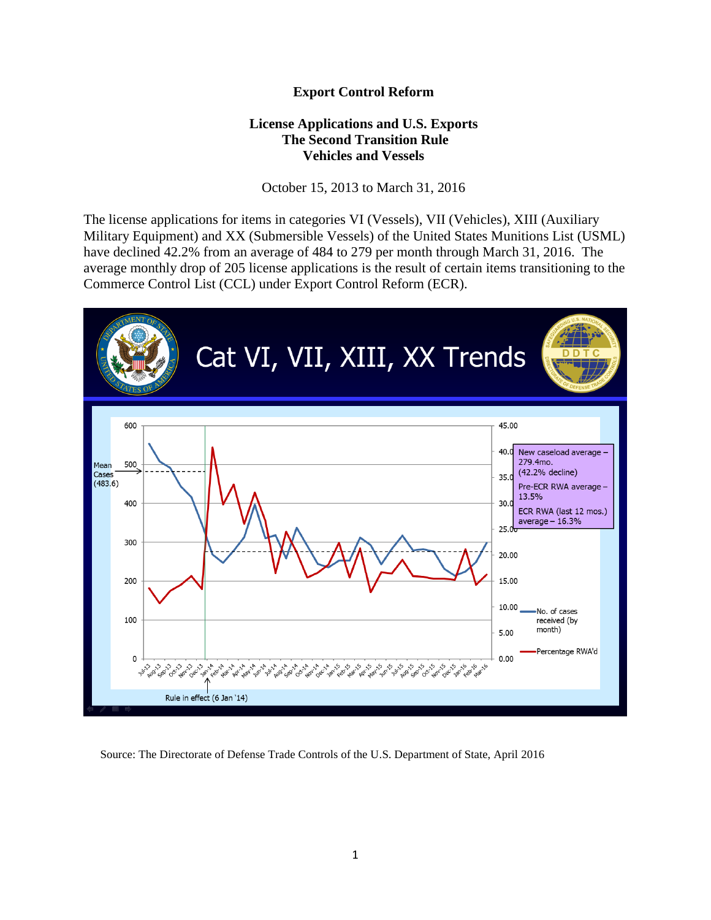## **Export Control Reform**

## **License Applications and U.S. Exports The Second Transition Rule Vehicles and Vessels**

October 15, 2013 to March 31, 2016

The license applications for items in categories VI (Vessels), VII (Vehicles), XIII (Auxiliary Military Equipment) and XX (Submersible Vessels) of the United States Munitions List (USML) have declined 42.2% from an average of 484 to 279 per month through March 31, 2016. The average monthly drop of 205 license applications is the result of certain items transitioning to the Commerce Control List (CCL) under Export Control Reform (ECR).



Source: The Directorate of Defense Trade Controls of the U.S. Department of State, April 2016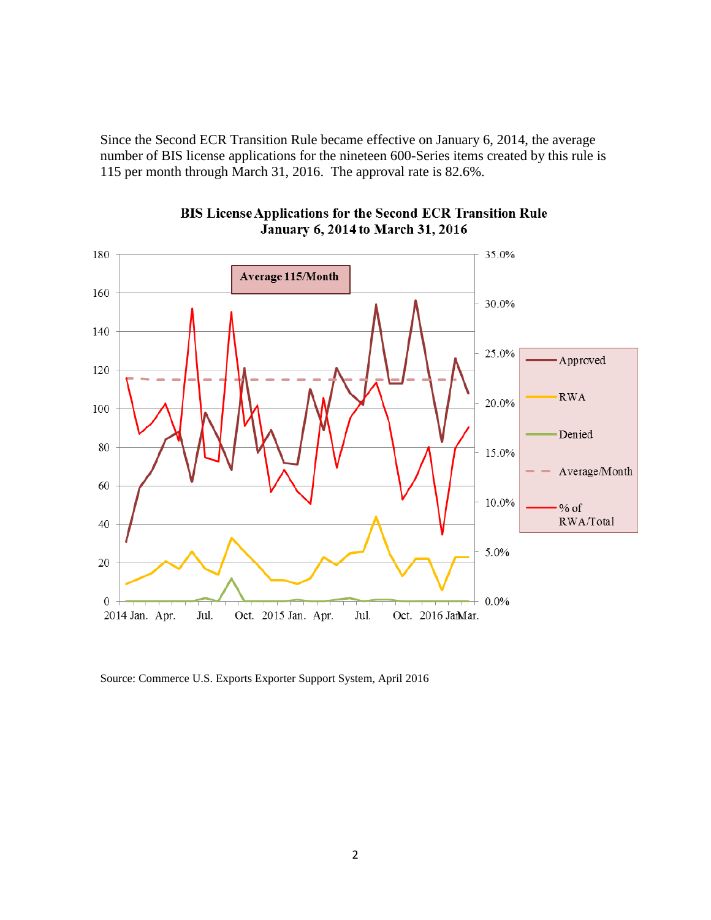Since the Second ECR Transition Rule became effective on January 6, 2014, the average number of BIS license applications for the nineteen 600-Series items created by this rule is 115 per month through March 31, 2016. The approval rate is 82.6%.



BIS License Applications for the Second ECR Transition Rule January 6, 2014 to March 31, 2016

Source: Commerce U.S. Exports Exporter Support System, April 2016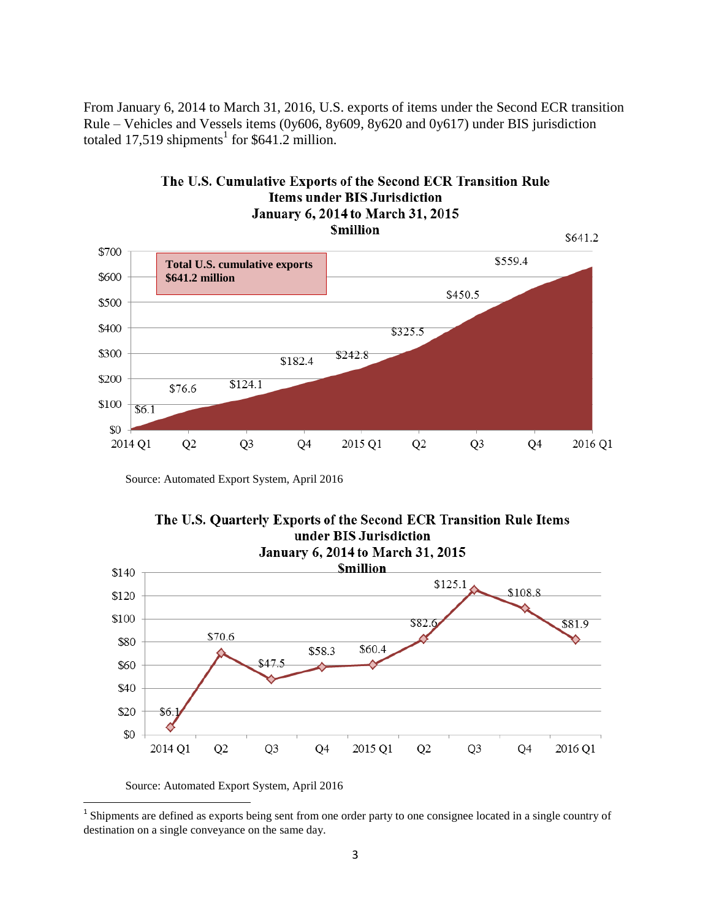From January 6, 2014 to March 31, 2016, U.S. exports of items under the Second ECR transition Rule – Vehicles and Vessels items (0y606, 8y609, 8y620 and 0y617) under BIS jurisdiction totaled 17,519 shipments<sup>1</sup> for \$641.2 million.



Source: Automated Export System, April 2016





Source: Automated Export System, April 2016

<sup>&</sup>lt;sup>1</sup> Shipments are defined as exports being sent from one order party to one consignee located in a single country of destination on a single conveyance on the same day.